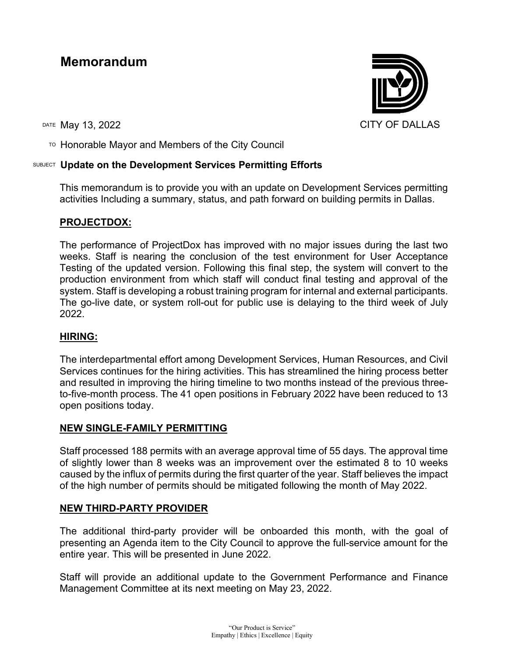# **Memorandum**

TO Honorable Mayor and Members of the City Council

## SUBJECT **Update on the Development Services Permitting Efforts**

This memorandum is to provide you with an update on Development Services permitting activities Including a summary, status, and path forward on building permits in Dallas.

## **PROJECTDOX:**

The performance of ProjectDox has improved with no major issues during the last two weeks. Staff is nearing the conclusion of the test environment for User Acceptance Testing of the updated version. Following this final step, the system will convert to the production environment from which staff will conduct final testing and approval of the system. Staff is developing a robust training program for internal and external participants. The go-live date, or system roll-out for public use is delaying to the third week of July 2022.

### **HIRING:**

The interdepartmental effort among Development Services, Human Resources, and Civil Services continues for the hiring activities. This has streamlined the hiring process better and resulted in improving the hiring timeline to two months instead of the previous threeto-five-month process. The 41 open positions in February 2022 have been reduced to 13 open positions today.

### **NEW SINGLE-FAMILY PERMITTING**

Staff processed 188 permits with an average approval time of 55 days. The approval time of slightly lower than 8 weeks was an improvement over the estimated 8 to 10 weeks caused by the influx of permits during the first quarter of the year. Staff believes the impact of the high number of permits should be mitigated following the month of May 2022.

### **NEW THIRD-PARTY PROVIDER**

The additional third-party provider will be onboarded this month, with the goal of presenting an Agenda item to the City Council to approve the full-service amount for the entire year. This will be presented in June 2022.

Staff will provide an additional update to the Government Performance and Finance Management Committee at its next meeting on May 23, 2022.